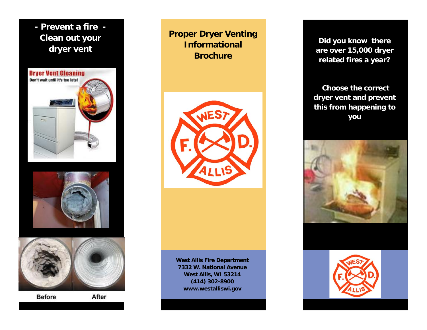**- Prevent a fire - Clean out your dryer vent** 







**Before** 

After

**Proper Dryer Venting Informational Brochure** 



**West Allis Fire Department 7332 W. National Avenue West Allis, WI 53214 (414) 302-8900 www.westalliswi.gov** 

**Did you know there are over 15,000 dryer related fires a year?** 

 **Choose the correct dryer vent and prevent this from happening to you**